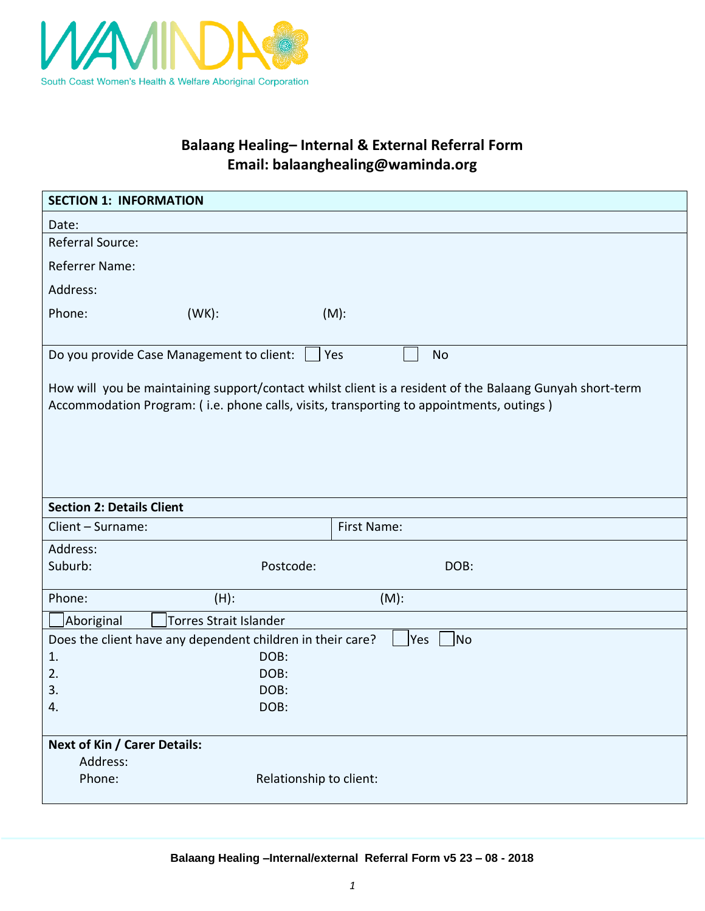

## **Balaang Healing– Internal & External Referral Form Email: balaanghealing@waminda.org**

| <b>SECTION 1: INFORMATION</b>                                                                                                                                                                        |                                                            |           |             |           |  |  |  |
|------------------------------------------------------------------------------------------------------------------------------------------------------------------------------------------------------|------------------------------------------------------------|-----------|-------------|-----------|--|--|--|
| Date:                                                                                                                                                                                                |                                                            |           |             |           |  |  |  |
| Referral Source:                                                                                                                                                                                     |                                                            |           |             |           |  |  |  |
| Referrer Name:                                                                                                                                                                                       |                                                            |           |             |           |  |  |  |
| Address:                                                                                                                                                                                             |                                                            |           |             |           |  |  |  |
| Phone:                                                                                                                                                                                               | $(WK)$ :                                                   | $(M)$ :   |             |           |  |  |  |
|                                                                                                                                                                                                      |                                                            |           |             |           |  |  |  |
|                                                                                                                                                                                                      | Do you provide Case Management to client:                  | Yes       |             | <b>No</b> |  |  |  |
| How will you be maintaining support/contact whilst client is a resident of the Balaang Gunyah short-term<br>Accommodation Program: (i.e. phone calls, visits, transporting to appointments, outings) |                                                            |           |             |           |  |  |  |
| <b>Section 2: Details Client</b>                                                                                                                                                                     |                                                            |           |             |           |  |  |  |
| Client - Surname:                                                                                                                                                                                    |                                                            |           | First Name: |           |  |  |  |
| Address:                                                                                                                                                                                             |                                                            |           |             |           |  |  |  |
| Suburb:                                                                                                                                                                                              |                                                            | Postcode: |             | DOB:      |  |  |  |
|                                                                                                                                                                                                      |                                                            |           |             |           |  |  |  |
|                                                                                                                                                                                                      |                                                            |           |             |           |  |  |  |
| Phone:                                                                                                                                                                                               | $(H)$ :                                                    |           | $(M)$ :     |           |  |  |  |
| Aboriginal                                                                                                                                                                                           | <b>Torres Strait Islander</b>                              |           |             |           |  |  |  |
| 1.                                                                                                                                                                                                   | Does the client have any dependent children in their care? | DOB:      | Yes         | No        |  |  |  |
| 2.                                                                                                                                                                                                   |                                                            | DOB:      |             |           |  |  |  |
| 3.                                                                                                                                                                                                   |                                                            | DOB:      |             |           |  |  |  |
| 4.                                                                                                                                                                                                   |                                                            | DOB:      |             |           |  |  |  |
|                                                                                                                                                                                                      |                                                            |           |             |           |  |  |  |
| <b>Next of Kin / Carer Details:</b><br>Address:                                                                                                                                                      |                                                            |           |             |           |  |  |  |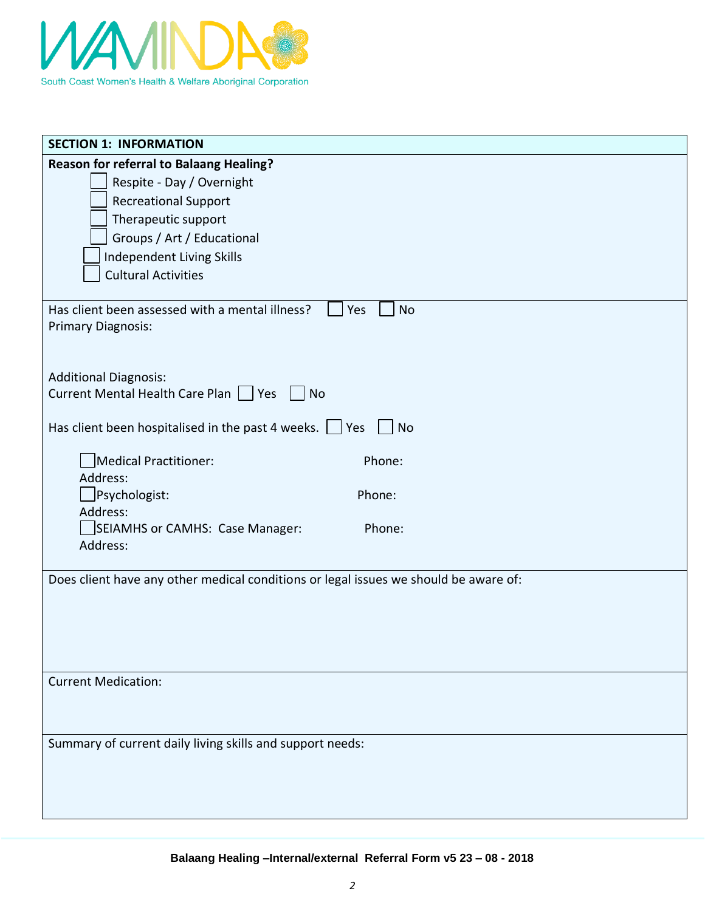

| <b>SECTION 1: INFORMATION</b>                                                        |
|--------------------------------------------------------------------------------------|
| <b>Reason for referral to Balaang Healing?</b>                                       |
| Respite - Day / Overnight                                                            |
| <b>Recreational Support</b>                                                          |
| Therapeutic support                                                                  |
| Groups / Art / Educational                                                           |
| Independent Living Skills                                                            |
| <b>Cultural Activities</b>                                                           |
|                                                                                      |
| Has client been assessed with a mental illness?<br><b>No</b><br>Yes                  |
| <b>Primary Diagnosis:</b>                                                            |
|                                                                                      |
|                                                                                      |
| <b>Additional Diagnosis:</b><br>Current Mental Health Care Plan   Yes<br><b>No</b>   |
|                                                                                      |
| Has client been hospitalised in the past 4 weeks. $\Box$ Yes<br>$ $ No               |
| Medical Practitioner:<br>Phone:                                                      |
| Address:                                                                             |
| $\Box$ Psychologist:<br>Phone:                                                       |
| Address:                                                                             |
| SEIAMHS or CAMHS: Case Manager:<br>Phone:                                            |
| Address:                                                                             |
|                                                                                      |
| Does client have any other medical conditions or legal issues we should be aware of: |
|                                                                                      |
|                                                                                      |
|                                                                                      |
|                                                                                      |
| <b>Current Medication:</b>                                                           |
|                                                                                      |
|                                                                                      |
|                                                                                      |
| Summary of current daily living skills and support needs:                            |
|                                                                                      |
|                                                                                      |
|                                                                                      |